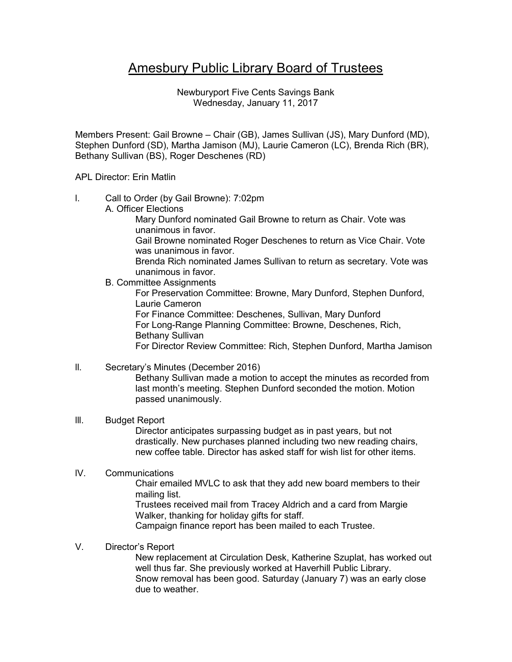# Amesbury Public Library Board of Trustees

Newburyport Five Cents Savings Bank Wednesday, January 11, 2017

Members Present: Gail Browne – Chair (GB), James Sullivan (JS), Mary Dunford (MD), Stephen Dunford (SD), Martha Jamison (MJ), Laurie Cameron (LC), Brenda Rich (BR), Bethany Sullivan (BS), Roger Deschenes (RD)

### APL Director: Erin Matlin

l. Call to Order (by Gail Browne): 7:02pm

A. Officer Elections

Mary Dunford nominated Gail Browne to return as Chair. Vote was unanimous in favor.

Gail Browne nominated Roger Deschenes to return as Vice Chair. Vote was unanimous in favor.

Brenda Rich nominated James Sullivan to return as secretary. Vote was unanimous in favor.

B. Committee Assignments

For Preservation Committee: Browne, Mary Dunford, Stephen Dunford, Laurie Cameron For Finance Committee: Deschenes, Sullivan, Mary Dunford For Long-Range Planning Committee: Browne, Deschenes, Rich, Bethany Sullivan

For Director Review Committee: Rich, Stephen Dunford, Martha Jamison

## ll. Secretary's Minutes (December 2016)

Bethany Sullivan made a motion to accept the minutes as recorded from last month's meeting. Stephen Dunford seconded the motion. Motion passed unanimously.

#### lll. Budget Report

Director anticipates surpassing budget as in past years, but not drastically. New purchases planned including two new reading chairs, new coffee table. Director has asked staff for wish list for other items.

## lV. Communications

Chair emailed MVLC to ask that they add new board members to their mailing list.

Trustees received mail from Tracey Aldrich and a card from Margie Walker, thanking for holiday gifts for staff.

Campaign finance report has been mailed to each Trustee.

## V. Director's Report

New replacement at Circulation Desk, Katherine Szuplat, has worked out well thus far. She previously worked at Haverhill Public Library. Snow removal has been good. Saturday (January 7) was an early close due to weather.